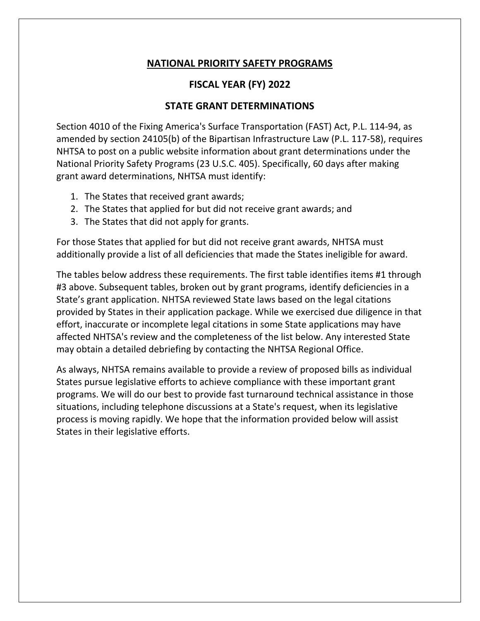## **NATIONAL PRIORITY SAFETY PROGRAMS**

## **FISCAL YEAR (FY) 2022**

## **STATE GRANT DETERMINATIONS**

Section 4010 of the Fixing America's Surface Transportation (FAST) Act, P.L. 114-94, as amended by section 24105(b) of the Bipartisan Infrastructure Law (P.L. 117-58), requires NHTSA to post on a public website information about grant determinations under the National Priority Safety Programs (23 U.S.C. 405). Specifically, 60 days after making grant award determinations, NHTSA must identify:

- 1. The States that received grant awards;
- 2. The States that applied for but did not receive grant awards; and
- 3. The States that did not apply for grants.

For those States that applied for but did not receive grant awards, NHTSA must additionally provide a list of all deficiencies that made the States ineligible for award.

The tables below address these requirements. The first table identifies items #1 through #3 above. Subsequent tables, broken out by grant programs, identify deficiencies in a State's grant application. NHTSA reviewed State laws based on the legal citations provided by States in their application package. While we exercised due diligence in that effort, inaccurate or incomplete legal citations in some State applications may have affected NHTSA's review and the completeness of the list below. Any interested State may obtain a detailed debriefing by contacting the NHTSA Regional Office.

As always, NHTSA remains available to provide a review of proposed bills as individual States pursue legislative efforts to achieve compliance with these important grant programs. We will do our best to provide fast turnaround technical assistance in those situations, including telephone discussions at a State's request, when its legislative process is moving rapidly. We hope that the information provided below will assist States in their legislative efforts.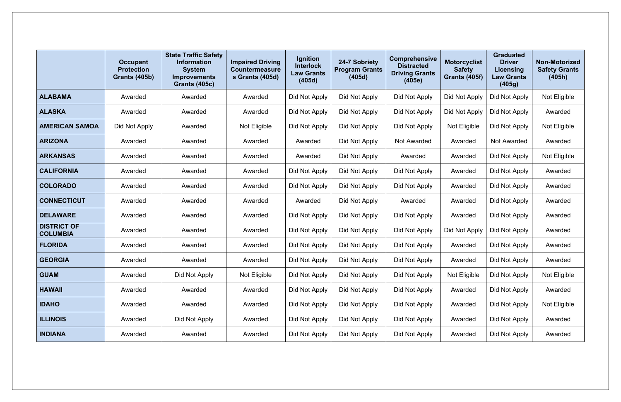|                                       | <b>Occupant</b><br><b>Protection</b><br><b>Grants (405b)</b> | <b>State Traffic Safety</b><br><b>Information</b><br><b>System</b><br><b>Improvements</b><br><b>Grants (405c)</b> | <b>Impaired Driving</b><br><b>Countermeasure</b><br>s Grants (405d) | Ignition<br><b>Interlock</b><br><b>Law Grants</b><br>(405d) | 24-7 Sobriety<br><b>Program Grants</b><br>(405d) | <b>Comprehensive</b><br><b>Distracted</b><br><b>Driving Grants</b><br>(405e) | <b>Motorcyclist</b><br><b>Safety</b><br><b>Grants (405f)</b> | <b>Graduated</b><br><b>Driver</b><br>Licensing<br><b>Law Grants</b><br>(405g) | <b>Non-Motorized</b><br><b>Safety Grants</b><br>(405h) |
|---------------------------------------|--------------------------------------------------------------|-------------------------------------------------------------------------------------------------------------------|---------------------------------------------------------------------|-------------------------------------------------------------|--------------------------------------------------|------------------------------------------------------------------------------|--------------------------------------------------------------|-------------------------------------------------------------------------------|--------------------------------------------------------|
| <b>ALABAMA</b>                        | Awarded                                                      | Awarded                                                                                                           | Awarded                                                             | Did Not Apply                                               | Did Not Apply                                    | Did Not Apply                                                                | Did Not Apply                                                | Did Not Apply                                                                 | Not Eligible                                           |
| <b>ALASKA</b>                         | Awarded                                                      | Awarded                                                                                                           | Awarded                                                             | Did Not Apply                                               | Did Not Apply                                    | Did Not Apply                                                                | Did Not Apply                                                | Did Not Apply                                                                 | Awarded                                                |
| <b>AMERICAN SAMOA</b>                 | Did Not Apply                                                | Awarded                                                                                                           | Not Eligible                                                        | Did Not Apply                                               | Did Not Apply                                    | Did Not Apply                                                                | Not Eligible                                                 | Did Not Apply                                                                 | Not Eligible                                           |
| <b>ARIZONA</b>                        | Awarded                                                      | Awarded                                                                                                           | Awarded                                                             | Awarded                                                     | Did Not Apply                                    | <b>Not Awarded</b>                                                           | Awarded                                                      | <b>Not Awarded</b>                                                            | Awarded                                                |
| <b>ARKANSAS</b>                       | Awarded                                                      | Awarded                                                                                                           | Awarded                                                             | Awarded                                                     | Did Not Apply                                    | Awarded                                                                      | Awarded                                                      | Did Not Apply                                                                 | Not Eligible                                           |
| <b>CALIFORNIA</b>                     | Awarded                                                      | Awarded                                                                                                           | Awarded                                                             | Did Not Apply                                               | Did Not Apply                                    | Did Not Apply                                                                |                                                              | Did Not Apply                                                                 | Awarded                                                |
| <b>COLORADO</b>                       | Awarded                                                      | Awarded                                                                                                           | Awarded                                                             | Did Not Apply                                               | Did Not Apply                                    | Did Not Apply                                                                | Awarded                                                      | Did Not Apply                                                                 | Awarded                                                |
| <b>CONNECTICUT</b>                    | Awarded                                                      | Awarded                                                                                                           | Awarded                                                             | Awarded                                                     | Did Not Apply                                    | Awarded                                                                      | Awarded                                                      | Did Not Apply                                                                 | Awarded                                                |
| <b>DELAWARE</b>                       | Awarded                                                      | Awarded                                                                                                           | Awarded                                                             | Did Not Apply                                               | Did Not Apply                                    | Did Not Apply                                                                | Awarded                                                      | Did Not Apply                                                                 | Awarded                                                |
| <b>DISTRICT OF</b><br><b>COLUMBIA</b> | Awarded                                                      | Awarded                                                                                                           | Awarded                                                             | Did Not Apply                                               | Did Not Apply                                    | Did Not Apply                                                                | Did Not Apply                                                | Did Not Apply                                                                 | Awarded                                                |
| <b>FLORIDA</b>                        | Awarded                                                      | Awarded                                                                                                           | Awarded                                                             | Did Not Apply                                               | Did Not Apply                                    | Did Not Apply                                                                | Awarded                                                      | Did Not Apply                                                                 | Awarded                                                |
| <b>GEORGIA</b>                        | Awarded                                                      | Awarded                                                                                                           | Awarded                                                             | Did Not Apply                                               | Did Not Apply                                    | Did Not Apply                                                                | Awarded                                                      | Did Not Apply                                                                 | Awarded                                                |
| <b>GUAM</b>                           | Awarded                                                      | Did Not Apply                                                                                                     | Not Eligible                                                        | Did Not Apply                                               | Did Not Apply                                    | Did Not Apply                                                                | Not Eligible                                                 | Did Not Apply                                                                 | Not Eligible                                           |
| <b>HAWAII</b>                         | Awarded                                                      | Awarded                                                                                                           | Awarded                                                             | Did Not Apply                                               | Did Not Apply                                    | Did Not Apply                                                                | Awarded                                                      | Did Not Apply                                                                 | Awarded                                                |
| <b>IDAHO</b>                          | Awarded                                                      | Awarded                                                                                                           | Awarded                                                             | Did Not Apply                                               | Did Not Apply                                    | Did Not Apply                                                                | Awarded                                                      | Did Not Apply                                                                 | Not Eligible                                           |
| <b>ILLINOIS</b>                       | Awarded                                                      | Did Not Apply                                                                                                     | Awarded                                                             | Did Not Apply                                               | Did Not Apply                                    | Did Not Apply                                                                | Awarded                                                      | Did Not Apply                                                                 | Awarded                                                |
| <b>INDIANA</b>                        | Awarded                                                      | Awarded                                                                                                           | Awarded                                                             | Did Not Apply                                               | Did Not Apply                                    | Did Not Apply                                                                | Awarded                                                      | Did Not Apply                                                                 | Awarded                                                |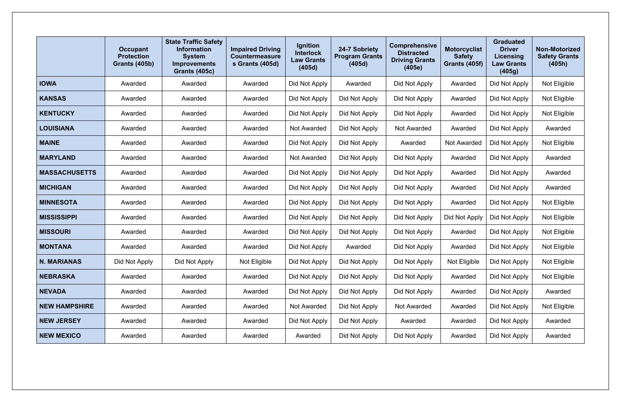|                      | <b>Occupant</b><br><b>Protection</b><br><b>Grants (405b)</b> | <b>State Traffic Safety</b><br><b>Information</b><br><b>System</b><br><b>Improvements</b><br><b>Grants (405c)</b> | <b>Impaired Driving</b><br><b>Countermeasure</b><br>s Grants (405d) | <b>Ignition</b><br><b>Interlock</b><br><b>Law Grants</b><br>(405d) | 24-7 Sobriety<br><b>Program Grants</b><br>(405d) | <b>Comprehensive</b><br><b>Distracted</b><br><b>Driving Grants</b><br>(405e) | <b>Motorcyclist</b><br><b>Safety</b><br><b>Grants (405f)</b> | <b>Graduated</b><br><b>Driver</b><br>Licensing<br><b>Law Grants</b><br>(405g) | <b>Non-Motorized</b><br><b>Safety Grants</b><br>(405h) |
|----------------------|--------------------------------------------------------------|-------------------------------------------------------------------------------------------------------------------|---------------------------------------------------------------------|--------------------------------------------------------------------|--------------------------------------------------|------------------------------------------------------------------------------|--------------------------------------------------------------|-------------------------------------------------------------------------------|--------------------------------------------------------|
| <b>IOWA</b>          | Awarded                                                      | Awarded                                                                                                           | Awarded                                                             | Did Not Apply                                                      | Awarded                                          | Did Not Apply                                                                | Awarded                                                      | Did Not Apply                                                                 | Not Eligible                                           |
| <b>KANSAS</b>        | Awarded                                                      | Awarded                                                                                                           | Awarded                                                             | Did Not Apply                                                      | Did Not Apply                                    | Did Not Apply                                                                | Awarded                                                      | Did Not Apply                                                                 | Not Eligible                                           |
| <b>KENTUCKY</b>      | Awarded                                                      | Awarded                                                                                                           | Awarded                                                             | Did Not Apply                                                      | Did Not Apply                                    | Did Not Apply                                                                | Awarded                                                      | Did Not Apply                                                                 | Not Eligible                                           |
| <b>LOUISIANA</b>     | Awarded                                                      | Awarded                                                                                                           | Awarded                                                             | <b>Not Awarded</b>                                                 | Did Not Apply                                    | Not Awarded                                                                  | Awarded                                                      | Did Not Apply                                                                 | Awarded                                                |
| <b>MAINE</b>         | Awarded                                                      | Awarded                                                                                                           | Awarded                                                             | Did Not Apply                                                      | Did Not Apply                                    | Awarded                                                                      | Not Awarded                                                  | Did Not Apply                                                                 | Not Eligible                                           |
| <b>MARYLAND</b>      | Awarded                                                      | Awarded                                                                                                           | Awarded                                                             | <b>Not Awarded</b>                                                 | Did Not Apply                                    | Did Not Apply                                                                | Awarded                                                      | Did Not Apply                                                                 | Awarded                                                |
| <b>MASSACHUSETTS</b> | Awarded                                                      | Awarded                                                                                                           | Awarded                                                             | Did Not Apply                                                      | Did Not Apply                                    | Did Not Apply                                                                | Awarded                                                      | Did Not Apply                                                                 | Awarded                                                |
| <b>MICHIGAN</b>      | Awarded                                                      | Awarded                                                                                                           | Awarded                                                             | Did Not Apply                                                      | Did Not Apply                                    | Did Not Apply                                                                | Awarded                                                      | Did Not Apply                                                                 | Awarded                                                |
| <b>MINNESOTA</b>     | Awarded                                                      | Awarded                                                                                                           | Awarded                                                             | Did Not Apply                                                      | Did Not Apply                                    | Did Not Apply                                                                | Awarded                                                      | Did Not Apply                                                                 | Not Eligible                                           |
| <b>MISSISSIPPI</b>   | Awarded                                                      | Awarded                                                                                                           | Awarded                                                             | Did Not Apply                                                      | Did Not Apply                                    | Did Not Apply                                                                | Did Not Apply                                                | Did Not Apply                                                                 | Not Eligible                                           |
| <b>MISSOURI</b>      | Awarded                                                      | Awarded                                                                                                           | Awarded                                                             | Did Not Apply                                                      | Did Not Apply                                    | Did Not Apply                                                                | Awarded                                                      | Did Not Apply                                                                 | Not Eligible                                           |
| <b>MONTANA</b>       | Awarded                                                      | Awarded                                                                                                           | Awarded                                                             | Did Not Apply                                                      | Awarded                                          | Did Not Apply                                                                | Awarded                                                      | Did Not Apply                                                                 | Not Eligible                                           |
| <b>N. MARIANAS</b>   | Did Not Apply                                                | Did Not Apply                                                                                                     | Not Eligible                                                        | Did Not Apply                                                      | Did Not Apply                                    | Did Not Apply                                                                | Not Eligible                                                 | Did Not Apply                                                                 | Not Eligible                                           |
| <b>NEBRASKA</b>      | Awarded                                                      | Awarded                                                                                                           | Awarded                                                             | Did Not Apply                                                      | Did Not Apply                                    | Did Not Apply                                                                | Awarded                                                      | Did Not Apply                                                                 | Not Eligible                                           |
| <b>NEVADA</b>        | Awarded                                                      | Awarded                                                                                                           | Awarded                                                             | Did Not Apply                                                      | Did Not Apply                                    | Did Not Apply                                                                | Awarded                                                      | Did Not Apply                                                                 | Awarded                                                |
| <b>NEW HAMPSHIRE</b> | Awarded                                                      | Awarded                                                                                                           | Awarded                                                             | <b>Not Awarded</b>                                                 | Did Not Apply                                    | <b>Not Awarded</b>                                                           | Awarded                                                      | Did Not Apply                                                                 | Not Eligible                                           |
| <b>NEW JERSEY</b>    | Awarded                                                      | Awarded                                                                                                           | Awarded                                                             | Did Not Apply                                                      | Did Not Apply                                    | Awarded                                                                      | Awarded                                                      | Did Not Apply                                                                 | Awarded                                                |
| <b>NEW MEXICO</b>    | Awarded                                                      | Awarded                                                                                                           | Awarded                                                             | Awarded                                                            | Did Not Apply                                    | Did Not Apply                                                                | Awarded                                                      | Did Not Apply                                                                 | Awarded                                                |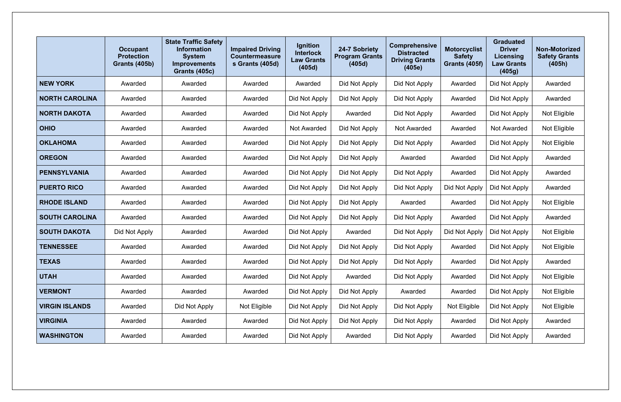|                       | <b>Occupant</b><br><b>Protection</b><br><b>Grants (405b)</b> | <b>State Traffic Safety</b><br><b>Information</b><br><b>System</b><br><b>Improvements</b><br><b>Grants (405c)</b> | <b>Impaired Driving</b><br><b>Countermeasure</b><br>s Grants (405d) | <b>Ignition</b><br><b>Interlock</b><br><b>Law Grants</b><br>(405d) | 24-7 Sobriety<br><b>Program Grants</b><br>(405d) | <b>Comprehensive</b><br><b>Distracted</b><br><b>Driving Grants</b><br>(405e) | <b>Motorcyclist</b><br><b>Safety</b><br><b>Grants (405f)</b> | <b>Graduated</b><br><b>Driver</b><br>Licensing<br><b>Law Grants</b><br>(405g) | <b>Non-Motorized</b><br><b>Safety Grants</b><br>(405h) |
|-----------------------|--------------------------------------------------------------|-------------------------------------------------------------------------------------------------------------------|---------------------------------------------------------------------|--------------------------------------------------------------------|--------------------------------------------------|------------------------------------------------------------------------------|--------------------------------------------------------------|-------------------------------------------------------------------------------|--------------------------------------------------------|
| <b>NEW YORK</b>       | Awarded                                                      | Awarded                                                                                                           | Awarded                                                             | Awarded                                                            | Did Not Apply                                    | Did Not Apply                                                                | Awarded                                                      | Did Not Apply                                                                 | Awarded                                                |
| <b>NORTH CAROLINA</b> | Awarded                                                      | Awarded                                                                                                           | Awarded                                                             | Did Not Apply                                                      | Did Not Apply                                    | Did Not Apply                                                                | Awarded                                                      | Did Not Apply                                                                 | Awarded                                                |
| <b>NORTH DAKOTA</b>   | Awarded                                                      | Awarded                                                                                                           | Awarded                                                             | Did Not Apply                                                      | Awarded                                          | Did Not Apply                                                                | Awarded                                                      | Did Not Apply                                                                 | Not Eligible                                           |
| <b>OHIO</b>           | Awarded                                                      | Awarded                                                                                                           | Awarded                                                             | <b>Not Awarded</b>                                                 | Did Not Apply                                    | Not Awarded                                                                  | Awarded                                                      | <b>Not Awarded</b>                                                            | Not Eligible                                           |
| <b>OKLAHOMA</b>       | Awarded                                                      | Awarded                                                                                                           | Awarded                                                             | Did Not Apply                                                      | Did Not Apply                                    | Did Not Apply                                                                | Awarded                                                      | Did Not Apply                                                                 | Not Eligible                                           |
| <b>OREGON</b>         | Awarded                                                      | Awarded                                                                                                           | Awarded                                                             | Did Not Apply                                                      | Did Not Apply                                    | Awarded                                                                      | Awarded                                                      | Did Not Apply                                                                 | Awarded                                                |
| <b>PENNSYLVANIA</b>   | Awarded                                                      | Awarded                                                                                                           | Awarded                                                             | Did Not Apply                                                      | Did Not Apply                                    | Did Not Apply                                                                | Awarded                                                      | Did Not Apply                                                                 | Awarded                                                |
| <b>PUERTO RICO</b>    | Awarded                                                      | Awarded                                                                                                           | Awarded                                                             | Did Not Apply                                                      | Did Not Apply                                    | Did Not Apply                                                                | Did Not Apply                                                | Did Not Apply                                                                 | Awarded                                                |
| <b>RHODE ISLAND</b>   | Awarded                                                      | Awarded                                                                                                           | Awarded                                                             | Did Not Apply                                                      | Did Not Apply                                    | Awarded                                                                      | Awarded                                                      | Did Not Apply                                                                 | Not Eligible                                           |
| <b>SOUTH CAROLINA</b> | Awarded                                                      | Awarded                                                                                                           | Awarded                                                             | Did Not Apply                                                      | Did Not Apply                                    | Did Not Apply                                                                | Awarded                                                      | Did Not Apply                                                                 | Awarded                                                |
| <b>SOUTH DAKOTA</b>   | Did Not Apply                                                | Awarded                                                                                                           | Awarded                                                             | Did Not Apply                                                      | Awarded                                          | Did Not Apply                                                                | Did Not Apply                                                | Did Not Apply                                                                 | Not Eligible                                           |
| <b>TENNESSEE</b>      | Awarded                                                      | Awarded                                                                                                           | Awarded                                                             | Did Not Apply                                                      | Did Not Apply                                    | Did Not Apply                                                                | Awarded                                                      | Did Not Apply                                                                 | Not Eligible                                           |
| <b>TEXAS</b>          | Awarded                                                      | Awarded                                                                                                           | Awarded                                                             | Did Not Apply                                                      | Did Not Apply                                    | Did Not Apply                                                                | Awarded                                                      | Did Not Apply                                                                 | Awarded                                                |
| <b>UTAH</b>           | Awarded                                                      | Awarded                                                                                                           | Awarded                                                             | Did Not Apply                                                      | Awarded                                          | Did Not Apply                                                                | Awarded                                                      | Did Not Apply                                                                 | Not Eligible                                           |
| <b>VERMONT</b>        | Awarded                                                      | Awarded                                                                                                           | Awarded                                                             | Did Not Apply                                                      | Did Not Apply                                    | Awarded                                                                      | Awarded                                                      | Did Not Apply                                                                 | Not Eligible                                           |
| <b>VIRGIN ISLANDS</b> | Awarded                                                      | Did Not Apply                                                                                                     | Not Eligible                                                        | Did Not Apply                                                      | Did Not Apply                                    | Did Not Apply                                                                | Not Eligible                                                 | Did Not Apply                                                                 | Not Eligible                                           |
| <b>VIRGINIA</b>       | Awarded                                                      | Awarded                                                                                                           | Awarded                                                             | Did Not Apply                                                      | Did Not Apply                                    | Did Not Apply                                                                | Awarded                                                      | Did Not Apply                                                                 | Awarded                                                |
| <b>WASHINGTON</b>     | Awarded                                                      | Awarded                                                                                                           | Awarded                                                             | Did Not Apply                                                      | Awarded                                          | Did Not Apply                                                                | Awarded                                                      | Did Not Apply                                                                 | Awarded                                                |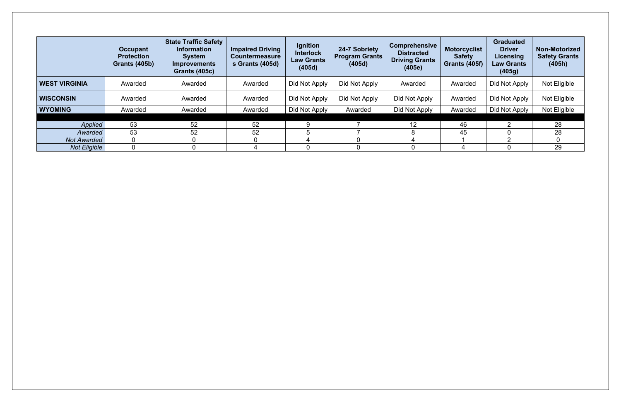|                      | <b>Occupant</b><br><b>Protection</b><br><b>Grants (405b)</b> | <b>State Traffic Safety</b><br>Information<br><b>System</b><br><b>Improvements</b><br><b>Grants (405c)</b> | <b>Impaired Driving</b><br><b>Countermeasure</b><br>s Grants (405d) | Ignition<br><b>Interlock</b><br><b>Law Grants</b><br>(405d) | 24-7 Sobriety<br><b>Program Grants</b><br>(405d) | <b>Comprehensive</b><br><b>Distracted</b><br><b>Driving Grants</b><br>(405e) | <b>Motorcyclist</b><br><b>Safety</b><br><b>Grants (405f)</b> | <b>Graduated</b><br><b>Driver</b><br>Licensing<br><b>Law Grants</b><br>(405g) | <b>Non-Motorized</b><br><b>Safety Grants</b><br>(405h) |
|----------------------|--------------------------------------------------------------|------------------------------------------------------------------------------------------------------------|---------------------------------------------------------------------|-------------------------------------------------------------|--------------------------------------------------|------------------------------------------------------------------------------|--------------------------------------------------------------|-------------------------------------------------------------------------------|--------------------------------------------------------|
| <b>WEST VIRGINIA</b> | Awarded                                                      | Awarded                                                                                                    | Awarded                                                             | Did Not Apply                                               | Did Not Apply                                    | Awarded                                                                      | Awarded                                                      | Did Not Apply                                                                 | Not Eligible                                           |
| <b>WISCONSIN</b>     | Awarded                                                      | Awarded                                                                                                    | Awarded                                                             | Did Not Apply                                               | Did Not Apply                                    | Did Not Apply                                                                | Awarded                                                      | Did Not Apply                                                                 | Not Eligible                                           |
| <b>WYOMING</b>       | Awarded                                                      | Awarded                                                                                                    | Awarded                                                             | Did Not Apply                                               | Awarded                                          | Did Not Apply                                                                | Awarded                                                      | Did Not Apply                                                                 | Not Eligible                                           |
|                      |                                                              |                                                                                                            |                                                                     |                                                             |                                                  |                                                                              |                                                              |                                                                               |                                                        |
| <b>Applied</b>       | 53                                                           | 52                                                                                                         | 52                                                                  | 9                                                           |                                                  | 12                                                                           | 46                                                           |                                                                               | 28                                                     |
| Awarded              | 53                                                           | 52                                                                                                         | 52                                                                  |                                                             |                                                  |                                                                              | 45                                                           |                                                                               | 28                                                     |
| <b>Not Awarded</b>   | 0                                                            |                                                                                                            |                                                                     |                                                             |                                                  |                                                                              |                                                              |                                                                               |                                                        |
| <b>Not Eligible</b>  | $\Omega$                                                     |                                                                                                            |                                                                     |                                                             |                                                  |                                                                              |                                                              |                                                                               | 29                                                     |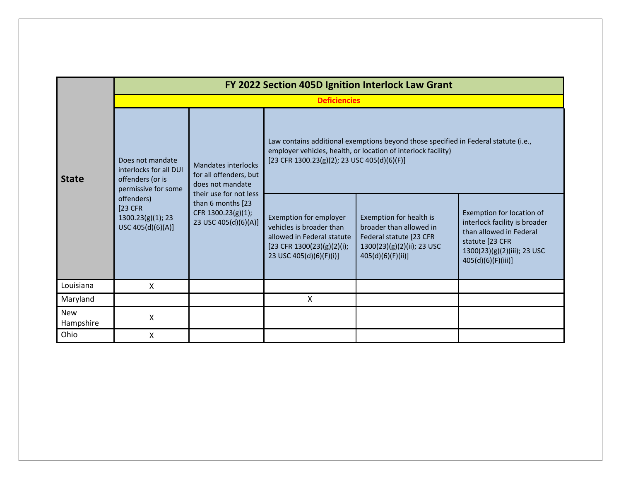| <b>State</b>            | FY 2022 Section 405D Ignition Interlock Law Grant                                     |                                                                                           |                                                                                                                                           |                                                                                                                                                      |                                                                                                                                                                  |  |  |  |  |  |
|-------------------------|---------------------------------------------------------------------------------------|-------------------------------------------------------------------------------------------|-------------------------------------------------------------------------------------------------------------------------------------------|------------------------------------------------------------------------------------------------------------------------------------------------------|------------------------------------------------------------------------------------------------------------------------------------------------------------------|--|--|--|--|--|
|                         | <b>Deficiencies</b>                                                                   |                                                                                           |                                                                                                                                           |                                                                                                                                                      |                                                                                                                                                                  |  |  |  |  |  |
|                         | Does not mandate<br>interlocks for all DUI<br>offenders (or is<br>permissive for some | <b>Mandates interlocks</b><br>for all offenders, but<br>does not mandate                  | [23 CFR 1300.23(g)(2); 23 USC 405(d)(6)(F)]                                                                                               | Law contains additional exemptions beyond those specified in Federal statute (i.e.,<br>employer vehicles, health, or location of interlock facility) |                                                                                                                                                                  |  |  |  |  |  |
|                         | offenders)<br>$[23$ CFR<br>1300.23(g)(1); 23<br>USC 405(d)(6)(A)]                     | their use for not less<br>than 6 months [23<br>CFR 1300.23(g)(1);<br>23 USC 405(d)(6)(A)] | Exemption for employer<br>vehicles is broader than<br>allowed in Federal statute<br>[23 CFR 1300(23)(g)(2)(i);<br>23 USC 405(d)(6)(F)(i)] | Exemption for health is<br>broader than allowed in<br>Federal statute [23 CFR<br>1300(23)(g)(2)(ii); 23 USC<br>405(d)(6)(F)(ii)]                     | Exemption for location of<br>interlock facility is broader<br>than allowed in Federal<br>statute [23 CFR<br>1300(23)(g)(2)(iii); 23 USC<br>$405(d)(6)(F)(iii)$ ] |  |  |  |  |  |
| Louisiana               | X                                                                                     |                                                                                           |                                                                                                                                           |                                                                                                                                                      |                                                                                                                                                                  |  |  |  |  |  |
| Maryland                |                                                                                       |                                                                                           | Χ                                                                                                                                         |                                                                                                                                                      |                                                                                                                                                                  |  |  |  |  |  |
| <b>New</b><br>Hampshire | X                                                                                     |                                                                                           |                                                                                                                                           |                                                                                                                                                      |                                                                                                                                                                  |  |  |  |  |  |
| Ohio                    | Χ                                                                                     |                                                                                           |                                                                                                                                           |                                                                                                                                                      |                                                                                                                                                                  |  |  |  |  |  |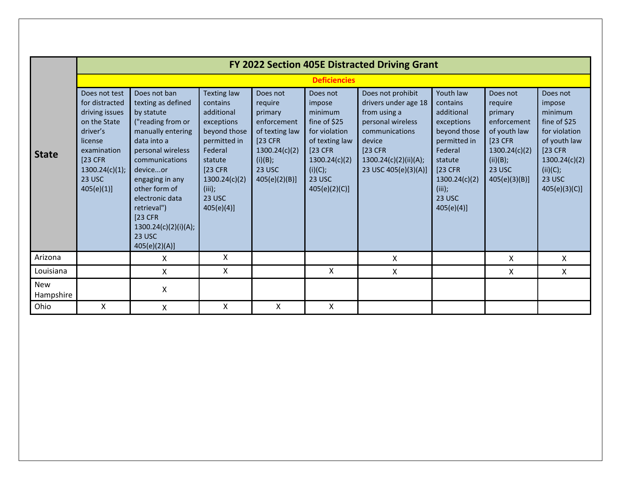|                         | FY 2022 Section 405E Distracted Driving Grant                                                                                                                 |                                                                                                                                                                                                                                                                                                    |                                                                                                                                                                        |                                                                                                                                          |                                                                                                                                                           |                                                                                                                                                                          |                                                                                                                                                                      |                                                                                                                                   |                                                                                                                                                   |  |  |  |  |
|-------------------------|---------------------------------------------------------------------------------------------------------------------------------------------------------------|----------------------------------------------------------------------------------------------------------------------------------------------------------------------------------------------------------------------------------------------------------------------------------------------------|------------------------------------------------------------------------------------------------------------------------------------------------------------------------|------------------------------------------------------------------------------------------------------------------------------------------|-----------------------------------------------------------------------------------------------------------------------------------------------------------|--------------------------------------------------------------------------------------------------------------------------------------------------------------------------|----------------------------------------------------------------------------------------------------------------------------------------------------------------------|-----------------------------------------------------------------------------------------------------------------------------------|---------------------------------------------------------------------------------------------------------------------------------------------------|--|--|--|--|
|                         |                                                                                                                                                               | <b>Deficiencies</b>                                                                                                                                                                                                                                                                                |                                                                                                                                                                        |                                                                                                                                          |                                                                                                                                                           |                                                                                                                                                                          |                                                                                                                                                                      |                                                                                                                                   |                                                                                                                                                   |  |  |  |  |
| <b>State</b>            | Does not test<br>for distracted<br>driving issues<br>on the State<br>driver's<br>license<br>examination<br>$[23$ CFR<br>1300.24(c)(1);<br>23 USC<br>405(e)(1) | Does not ban<br>texting as defined<br>by statute<br>("reading from or<br>manually entering<br>data into a<br>personal wireless<br>communications<br>deviceor<br>engaging in any<br>other form of<br>electronic data<br>retrieval")<br>$[23$ CFR<br>1300.24(c)(2)(i)(A);<br>23 USC<br>405(e)(2)(A)] | Texting law<br>contains<br>additional<br>exceptions<br>beyond those<br>permitted in<br>Federal<br>statute<br>[23 CFR<br>1300.24(c)(2)<br>(iii);<br>23 USC<br>405(e)(4) | Does not<br>require<br>primary<br>enforcement<br>of texting law<br>[23 CFR<br>1300.24(c)(2)<br>(i)(B);<br><b>23 USC</b><br>405(e)(2)(B)] | Does not<br>impose<br>minimum<br>fine of \$25<br>for violation<br>of texting law<br>[23 CFR]<br>1300.24(c)(2)<br>(i)(C);<br><b>23 USC</b><br>405(e)(2)(C) | Does not prohibit<br>drivers under age 18<br>from using a<br>personal wireless<br>communications<br>device<br>$[23$ CFR<br>1300.24(c)(2)(ii)(A);<br>23 USC 405(e)(3)(A)] | Youth law<br>contains<br>additional<br>exceptions<br>beyond those<br>permitted in<br>Federal<br>statute<br>[23 CFR<br>1300.24(c)(2)<br>(iii);<br>23 USC<br>405(e)(4) | Does not<br>require<br>primary<br>enforcement<br>of youth law<br>[23 CFR]<br>1300.24(c)(2)<br>(ii)(B);<br>23 USC<br>405(e)(3)(B)] | Does not<br>impose<br>minimum<br>fine of \$25<br>for violation<br>of youth law<br>[23 CFR]<br>1300.24(c)(2)<br>(ii)(C);<br>23 USC<br>405(e)(3)(C) |  |  |  |  |
| Arizona                 |                                                                                                                                                               | X                                                                                                                                                                                                                                                                                                  | X                                                                                                                                                                      |                                                                                                                                          |                                                                                                                                                           | X                                                                                                                                                                        |                                                                                                                                                                      | X                                                                                                                                 | X                                                                                                                                                 |  |  |  |  |
| Louisiana               |                                                                                                                                                               | X                                                                                                                                                                                                                                                                                                  | X                                                                                                                                                                      |                                                                                                                                          | X                                                                                                                                                         | X                                                                                                                                                                        |                                                                                                                                                                      | X                                                                                                                                 | X                                                                                                                                                 |  |  |  |  |
| <b>New</b><br>Hampshire |                                                                                                                                                               | Χ                                                                                                                                                                                                                                                                                                  |                                                                                                                                                                        |                                                                                                                                          |                                                                                                                                                           |                                                                                                                                                                          |                                                                                                                                                                      |                                                                                                                                   |                                                                                                                                                   |  |  |  |  |
| Ohio                    | Χ                                                                                                                                                             | Χ                                                                                                                                                                                                                                                                                                  | Χ                                                                                                                                                                      | Χ                                                                                                                                        | Χ                                                                                                                                                         |                                                                                                                                                                          |                                                                                                                                                                      |                                                                                                                                   |                                                                                                                                                   |  |  |  |  |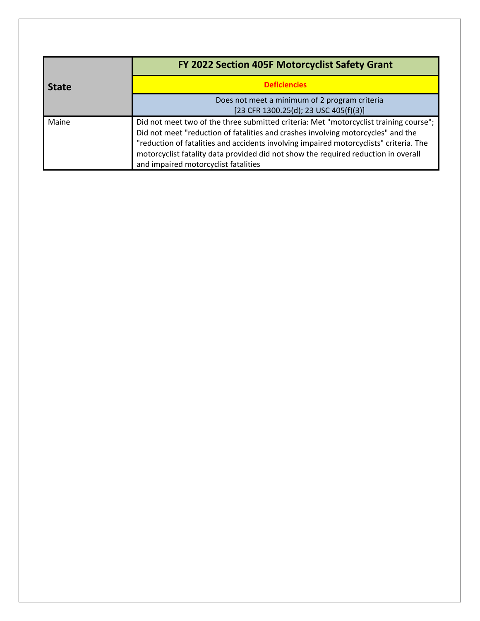|              | FY 2022 Section 405F Motorcyclist Safety Grant                                                                                                                                                                                                                                                                                                                                                    |
|--------------|---------------------------------------------------------------------------------------------------------------------------------------------------------------------------------------------------------------------------------------------------------------------------------------------------------------------------------------------------------------------------------------------------|
| <b>State</b> | <b>Deficiencies</b>                                                                                                                                                                                                                                                                                                                                                                               |
|              | Does not meet a minimum of 2 program criteria<br>[23 CFR 1300.25(d); 23 USC 405(f)(3)]                                                                                                                                                                                                                                                                                                            |
| Maine        | Did not meet two of the three submitted criteria: Met "motorcyclist training course";<br>Did not meet "reduction of fatalities and crashes involving motorcycles" and the<br>"reduction of fatalities and accidents involving impaired motorcyclists" criteria. The<br>motorcyclist fatality data provided did not show the required reduction in overall<br>and impaired motorcyclist fatalities |